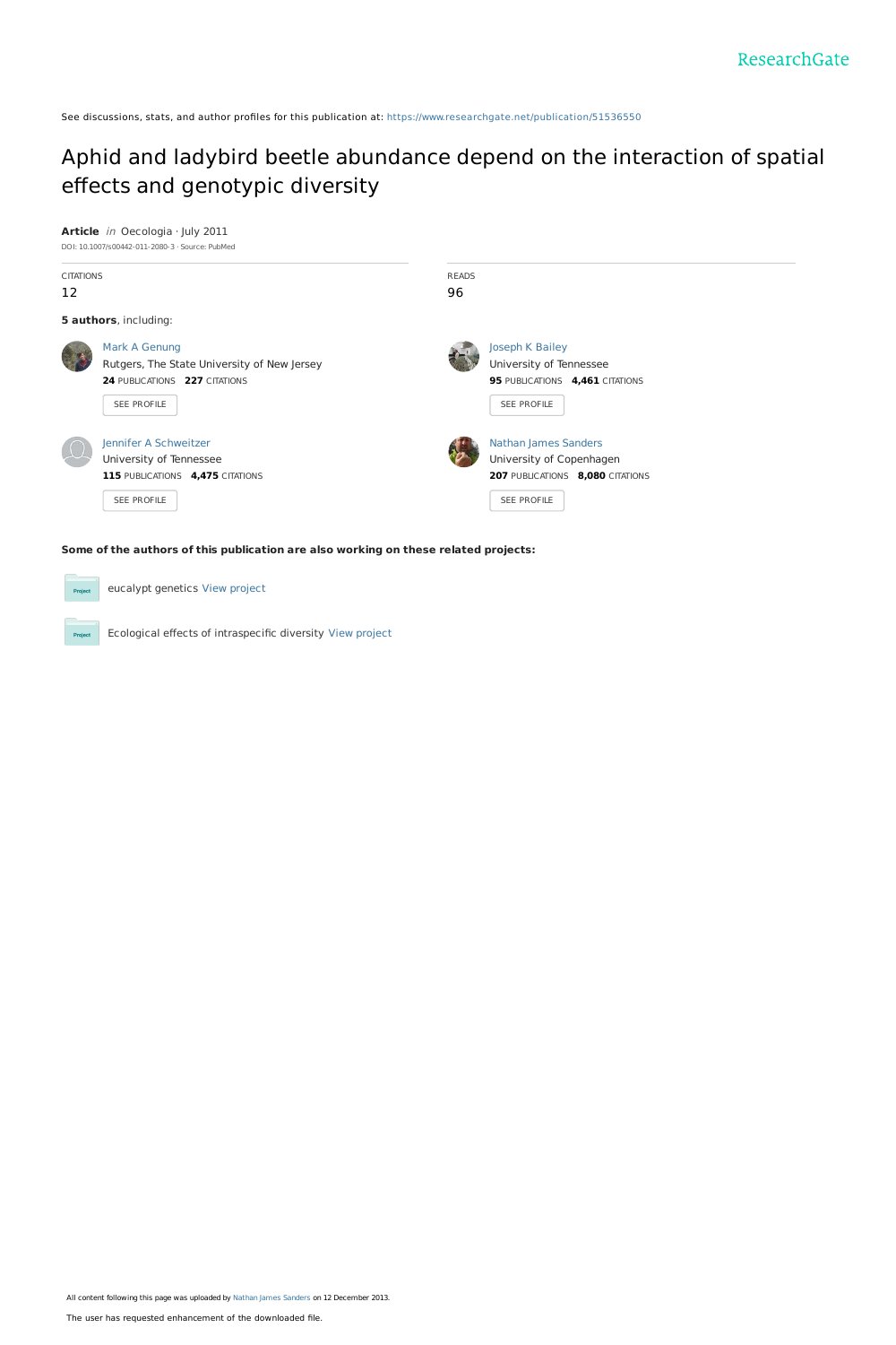See discussions, stats, and author profiles for this publication at: [https://www.researchgate.net/publication/51536550](https://www.researchgate.net/publication/51536550_Aphid_and_ladybird_beetle_abundance_depend_on_the_interaction_of_spatial_effects_and_genotypic_diversity?enrichId=rgreq-3c911436686b4c615029e514a91e2109-XXX&enrichSource=Y292ZXJQYWdlOzUxNTM2NTUwO0FTOjEwNDc5MzQ2OTA5NTk0MkAxNDAxOTk2MTE4MjY4&el=1_x_2&_esc=publicationCoverPdf)

# Aphid and ladybird beetle [abundance](https://www.researchgate.net/publication/51536550_Aphid_and_ladybird_beetle_abundance_depend_on_the_interaction_of_spatial_effects_and_genotypic_diversity?enrichId=rgreq-3c911436686b4c615029e514a91e2109-XXX&enrichSource=Y292ZXJQYWdlOzUxNTM2NTUwO0FTOjEwNDc5MzQ2OTA5NTk0MkAxNDAxOTk2MTE4MjY4&el=1_x_3&_esc=publicationCoverPdf) depend on the interaction of spatial effects and genotypic diversity

**Article** in Oecologia · July 2011



eucalypt genetics View [project](https://www.researchgate.net/project/eucalypt-genetics?enrichId=rgreq-3c911436686b4c615029e514a91e2109-XXX&enrichSource=Y292ZXJQYWdlOzUxNTM2NTUwO0FTOjEwNDc5MzQ2OTA5NTk0MkAxNDAxOTk2MTE4MjY4&el=1_x_9&_esc=publicationCoverPdf) Proje

 $Prc$ 

Ecological effects of intraspecific diversity View [project](https://www.researchgate.net/project/Ecological-effects-of-intraspecific-diversity?enrichId=rgreq-3c911436686b4c615029e514a91e2109-XXX&enrichSource=Y292ZXJQYWdlOzUxNTM2NTUwO0FTOjEwNDc5MzQ2OTA5NTk0MkAxNDAxOTk2MTE4MjY4&el=1_x_9&_esc=publicationCoverPdf)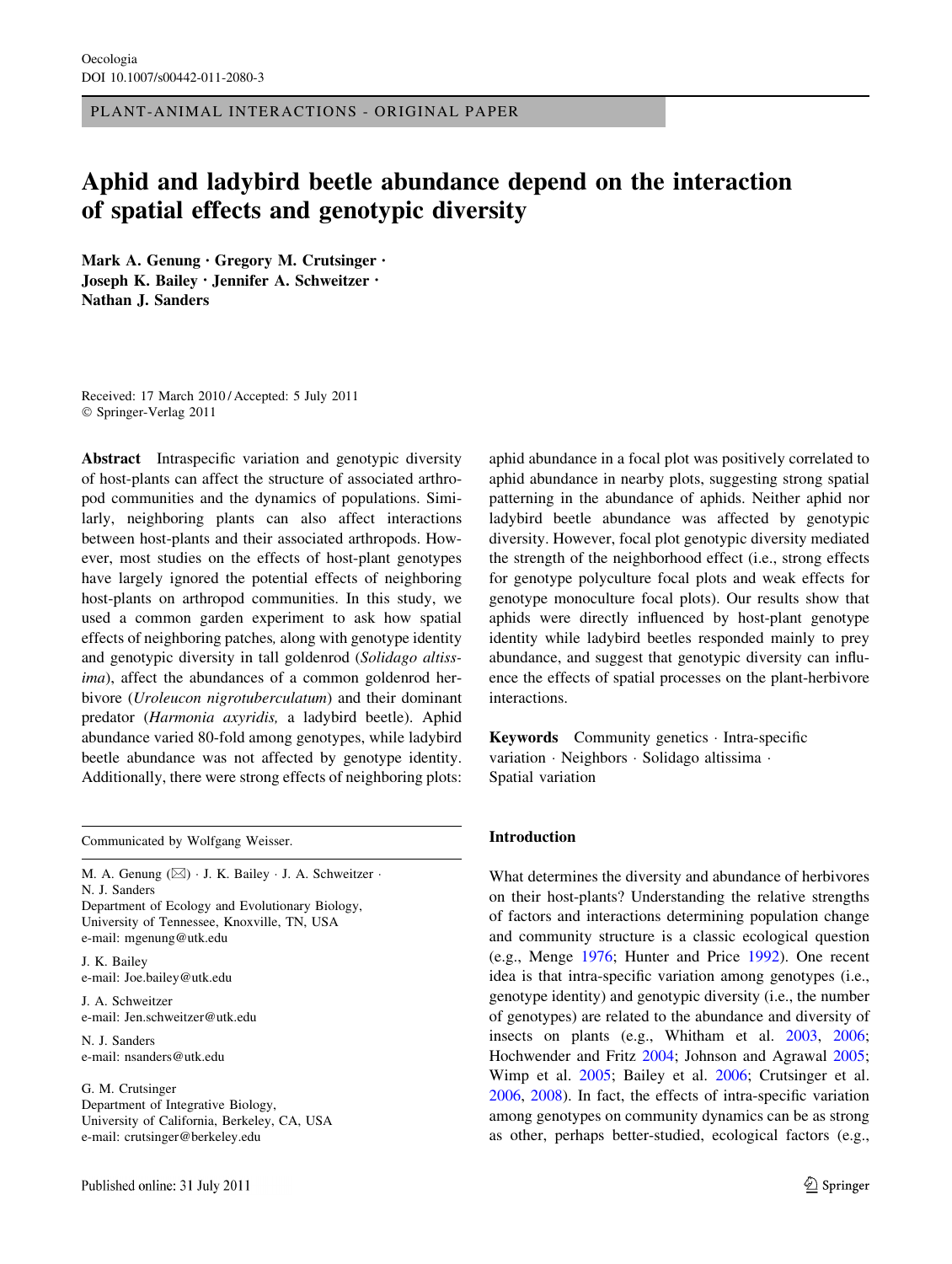PLANT-ANIMAL INTERACTIONS - ORIGINAL PAPER

# Aphid and ladybird beetle abundance depend on the interaction of spatial effects and genotypic diversity

Mark A. Genung • Gregory M. Crutsinger • Joseph K. Bailey • Jennifer A. Schweitzer • Nathan J. Sanders

Received: 17 March 2010 / Accepted: 5 July 2011 © Springer-Verlag 2011

Abstract Intraspecific variation and genotypic diversity of host-plants can affect the structure of associated arthropod communities and the dynamics of populations. Similarly, neighboring plants can also affect interactions between host-plants and their associated arthropods. However, most studies on the effects of host-plant genotypes have largely ignored the potential effects of neighboring host-plants on arthropod communities. In this study, we used a common garden experiment to ask how spatial effects of neighboring patches, along with genotype identity and genotypic diversity in tall goldenrod (Solidago altissima), affect the abundances of a common goldenrod herbivore (Uroleucon nigrotuberculatum) and their dominant predator (Harmonia axyridis, a ladybird beetle). Aphid abundance varied 80-fold among genotypes, while ladybird beetle abundance was not affected by genotype identity. Additionally, there were strong effects of neighboring plots:

Communicated by Wolfgang Weisser.

M. A. Genung (⊠) · J. K. Bailey · J. A. Schweitzer · N. J. Sanders Department of Ecology and Evolutionary Biology, University of Tennessee, Knoxville, TN, USA e-mail: mgenung@utk.edu

J. K. Bailey e-mail: Joe.bailey@utk.edu

J. A. Schweitzer e-mail: Jen.schweitzer@utk.edu

N. J. Sanders e-mail: nsanders@utk.edu

G. M. Crutsinger Department of Integrative Biology, University of California, Berkeley, CA, USA e-mail: crutsinger@berkeley.edu

aphid abundance in a focal plot was positively correlated to aphid abundance in nearby plots, suggesting strong spatial patterning in the abundance of aphids. Neither aphid nor ladybird beetle abundance was affected by genotypic diversity. However, focal plot genotypic diversity mediated the strength of the neighborhood effect (i.e., strong effects for genotype polyculture focal plots and weak effects for genotype monoculture focal plots). Our results show that aphids were directly influenced by host-plant genotype identity while ladybird beetles responded mainly to prey abundance, and suggest that genotypic diversity can influence the effects of spatial processes on the plant-herbivore interactions.

Keywords Community genetics - Intra-specific variation - Neighbors - Solidago altissima - Spatial variation

### Introduction

What determines the diversity and abundance of herbivores on their host-plants? Understanding the relative strengths of factors and interactions determining population change and community structure is a classic ecological question (e.g., Menge [1976;](#page-8-0) Hunter and Price [1992\)](#page-7-0). One recent idea is that intra-specific variation among genotypes (i.e., genotype identity) and genotypic diversity (i.e., the number of genotypes) are related to the abundance and diversity of insects on plants (e.g., Whitham et al. [2003,](#page-8-0) [2006](#page-8-0); Hochwender and Fritz [2004;](#page-7-0) Johnson and Agrawal [2005](#page-7-0); Wimp et al. [2005;](#page-8-0) Bailey et al. [2006;](#page-7-0) Crutsinger et al. [2006](#page-7-0), [2008](#page-7-0)). In fact, the effects of intra-specific variation among genotypes on community dynamics can be as strong as other, perhaps better-studied, ecological factors (e.g.,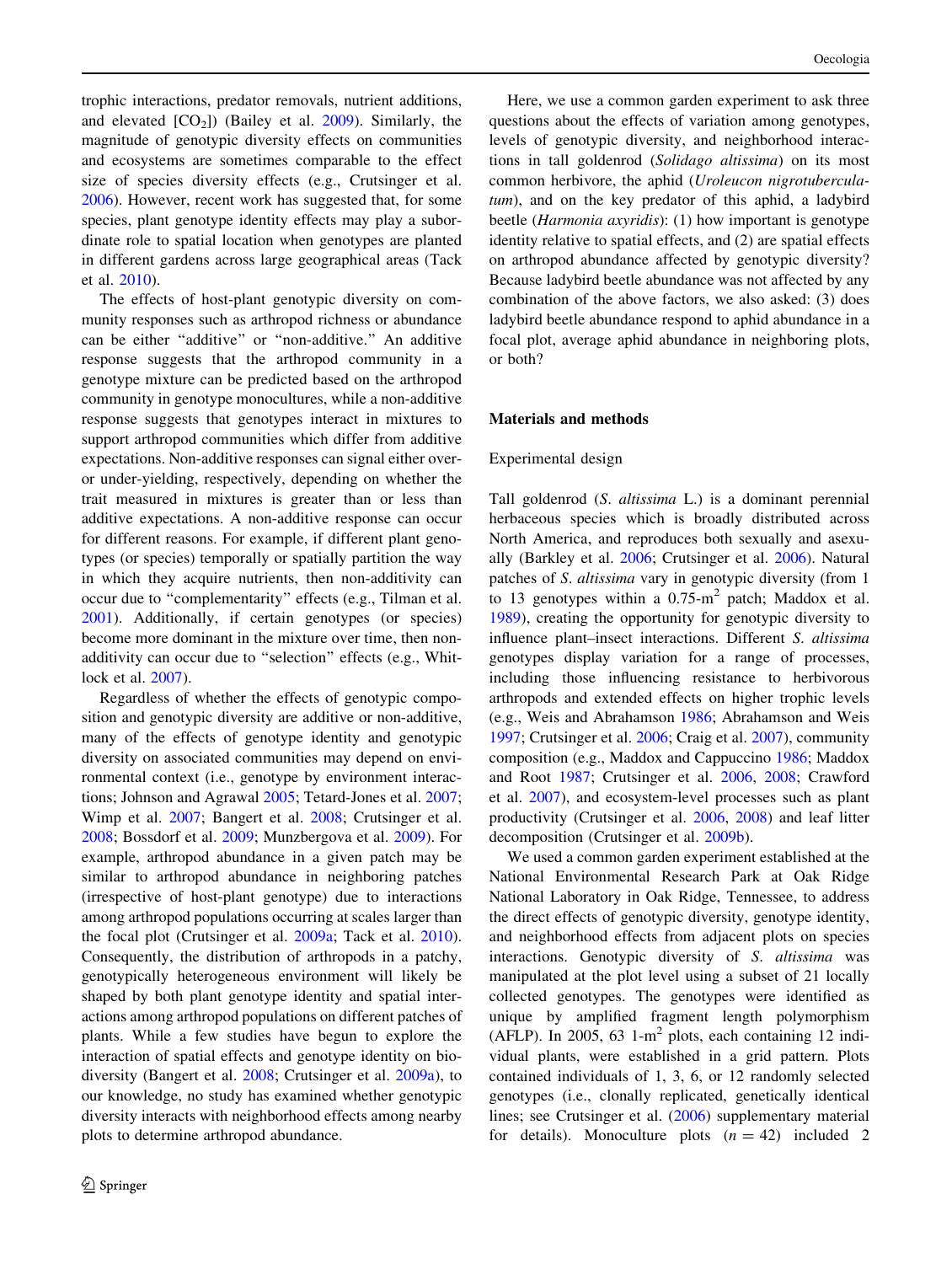trophic interactions, predator removals, nutrient additions, and elevated  $[CO_2]$ ) (Bailey et al. [2009\)](#page-7-0). Similarly, the magnitude of genotypic diversity effects on communities and ecosystems are sometimes comparable to the effect size of species diversity effects (e.g., Crutsinger et al. [2006\)](#page-7-0). However, recent work has suggested that, for some species, plant genotype identity effects may play a subordinate role to spatial location when genotypes are planted in different gardens across large geographical areas (Tack et al. [2010\)](#page-8-0).

The effects of host-plant genotypic diversity on community responses such as arthropod richness or abundance can be either ''additive'' or ''non-additive.'' An additive response suggests that the arthropod community in a genotype mixture can be predicted based on the arthropod community in genotype monocultures, while a non-additive response suggests that genotypes interact in mixtures to support arthropod communities which differ from additive expectations. Non-additive responses can signal either overor under-yielding, respectively, depending on whether the trait measured in mixtures is greater than or less than additive expectations. A non-additive response can occur for different reasons. For example, if different plant genotypes (or species) temporally or spatially partition the way in which they acquire nutrients, then non-additivity can occur due to ''complementarity'' effects (e.g., Tilman et al. [2001\)](#page-8-0). Additionally, if certain genotypes (or species) become more dominant in the mixture over time, then nonadditivity can occur due to ''selection'' effects (e.g., Whitlock et al. [2007](#page-8-0)).

Regardless of whether the effects of genotypic composition and genotypic diversity are additive or non-additive, many of the effects of genotype identity and genotypic diversity on associated communities may depend on environmental context (i.e., genotype by environment interactions; Johnson and Agrawal [2005;](#page-7-0) Tetard-Jones et al. [2007](#page-8-0); Wimp et al. [2007;](#page-8-0) Bangert et al. [2008](#page-7-0); Crutsinger et al. [2008;](#page-7-0) Bossdorf et al. [2009;](#page-7-0) Munzbergova et al. [2009](#page-8-0)). For example, arthropod abundance in a given patch may be similar to arthropod abundance in neighboring patches (irrespective of host-plant genotype) due to interactions among arthropod populations occurring at scales larger than the focal plot (Crutsinger et al. [2009a](#page-7-0); Tack et al. [2010](#page-8-0)). Consequently, the distribution of arthropods in a patchy, genotypically heterogeneous environment will likely be shaped by both plant genotype identity and spatial interactions among arthropod populations on different patches of plants. While a few studies have begun to explore the interaction of spatial effects and genotype identity on biodiversity (Bangert et al. [2008;](#page-7-0) Crutsinger et al. [2009a](#page-7-0)), to our knowledge, no study has examined whether genotypic diversity interacts with neighborhood effects among nearby plots to determine arthropod abundance.

Here, we use a common garden experiment to ask three questions about the effects of variation among genotypes, levels of genotypic diversity, and neighborhood interactions in tall goldenrod (Solidago altissima) on its most common herbivore, the aphid (Uroleucon nigrotuberculatum), and on the key predator of this aphid, a ladybird beetle (Harmonia axyridis): (1) how important is genotype identity relative to spatial effects, and (2) are spatial effects on arthropod abundance affected by genotypic diversity? Because ladybird beetle abundance was not affected by any combination of the above factors, we also asked: (3) does ladybird beetle abundance respond to aphid abundance in a focal plot, average aphid abundance in neighboring plots, or both?

### Materials and methods

#### Experimental design

Tall goldenrod (S. altissima L.) is a dominant perennial herbaceous species which is broadly distributed across North America, and reproduces both sexually and asexually (Barkley et al. [2006;](#page-7-0) Crutsinger et al. [2006\)](#page-7-0). Natural patches of S. altissima vary in genotypic diversity (from 1 to 13 genotypes within a  $0.75 \text{--} m^2$  patch; Maddox et al. [1989](#page-7-0)), creating the opportunity for genotypic diversity to influence plant–insect interactions. Different S. altissima genotypes display variation for a range of processes, including those influencing resistance to herbivorous arthropods and extended effects on higher trophic levels (e.g., Weis and Abrahamson [1986;](#page-8-0) Abrahamson and Weis [1997](#page-7-0); Crutsinger et al. [2006](#page-7-0); Craig et al. [2007](#page-7-0)), community composition (e.g., Maddox and Cappuccino [1986](#page-7-0); Maddox and Root [1987;](#page-7-0) Crutsinger et al. [2006](#page-7-0), [2008](#page-7-0); Crawford et al. [2007\)](#page-7-0), and ecosystem-level processes such as plant productivity (Crutsinger et al. [2006,](#page-7-0) [2008](#page-7-0)) and leaf litter decomposition (Crutsinger et al. [2009b\)](#page-7-0).

We used a common garden experiment established at the National Environmental Research Park at Oak Ridge National Laboratory in Oak Ridge, Tennessee, to address the direct effects of genotypic diversity, genotype identity, and neighborhood effects from adjacent plots on species interactions. Genotypic diversity of S. altissima was manipulated at the plot level using a subset of 21 locally collected genotypes. The genotypes were identified as unique by amplified fragment length polymorphism (AFLP). In 2005, 63  $1-m^2$  plots, each containing 12 individual plants, were established in a grid pattern. Plots contained individuals of 1, 3, 6, or 12 randomly selected genotypes (i.e., clonally replicated, genetically identical lines; see Crutsinger et al. ([2006\)](#page-7-0) supplementary material for details). Monoculture plots  $(n = 42)$  included 2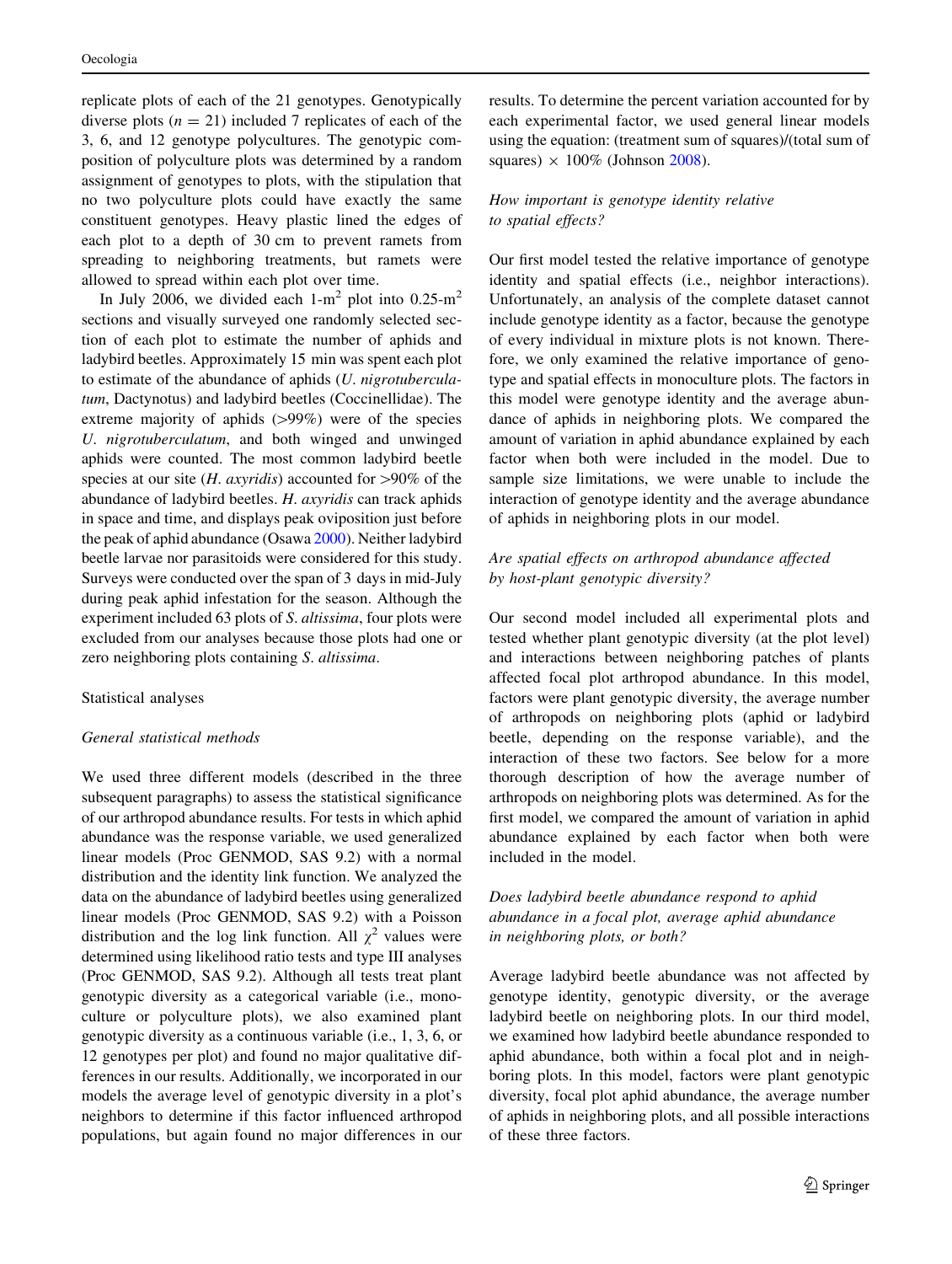replicate plots of each of the 21 genotypes. Genotypically diverse plots  $(n = 21)$  included 7 replicates of each of the 3, 6, and 12 genotype polycultures. The genotypic composition of polyculture plots was determined by a random assignment of genotypes to plots, with the stipulation that no two polyculture plots could have exactly the same constituent genotypes. Heavy plastic lined the edges of each plot to a depth of 30 cm to prevent ramets from spreading to neighboring treatments, but ramets were allowed to spread within each plot over time.

In July 2006, we divided each  $1-m^2$  plot into 0.25-m<sup>2</sup> sections and visually surveyed one randomly selected section of each plot to estimate the number of aphids and ladybird beetles. Approximately 15 min was spent each plot to estimate of the abundance of aphids (U. nigrotuberculatum, Dactynotus) and ladybird beetles (Coccinellidae). The extreme majority of aphids  $(>99%)$  were of the species U. nigrotuberculatum, and both winged and unwinged aphids were counted. The most common ladybird beetle species at our site (*H. axyridis*) accounted for  $>90\%$  of the abundance of ladybird beetles. H. axyridis can track aphids in space and time, and displays peak oviposition just before the peak of aphid abundance (Osawa [2000](#page-8-0)). Neither ladybird beetle larvae nor parasitoids were considered for this study. Surveys were conducted over the span of 3 days in mid-July during peak aphid infestation for the season. Although the experiment included 63 plots of S. altissima, four plots were excluded from our analyses because those plots had one or zero neighboring plots containing S. altissima.

### Statistical analyses

## General statistical methods

We used three different models (described in the three subsequent paragraphs) to assess the statistical significance of our arthropod abundance results. For tests in which aphid abundance was the response variable, we used generalized linear models (Proc GENMOD, SAS 9.2) with a normal distribution and the identity link function. We analyzed the data on the abundance of ladybird beetles using generalized linear models (Proc GENMOD, SAS 9.2) with a Poisson distribution and the log link function. All  $\chi^2$  values were determined using likelihood ratio tests and type III analyses (Proc GENMOD, SAS 9.2). Although all tests treat plant genotypic diversity as a categorical variable (i.e., monoculture or polyculture plots), we also examined plant genotypic diversity as a continuous variable (i.e., 1, 3, 6, or 12 genotypes per plot) and found no major qualitative differences in our results. Additionally, we incorporated in our models the average level of genotypic diversity in a plot's neighbors to determine if this factor influenced arthropod populations, but again found no major differences in our results. To determine the percent variation accounted for by each experimental factor, we used general linear models using the equation: (treatment sum of squares)/(total sum of squares)  $\times$  100% (Johnson [2008\)](#page-7-0).

## How important is genotype identity relative to spatial effects?

Our first model tested the relative importance of genotype identity and spatial effects (i.e., neighbor interactions). Unfortunately, an analysis of the complete dataset cannot include genotype identity as a factor, because the genotype of every individual in mixture plots is not known. Therefore, we only examined the relative importance of genotype and spatial effects in monoculture plots. The factors in this model were genotype identity and the average abundance of aphids in neighboring plots. We compared the amount of variation in aphid abundance explained by each factor when both were included in the model. Due to sample size limitations, we were unable to include the interaction of genotype identity and the average abundance of aphids in neighboring plots in our model.

## Are spatial effects on arthropod abundance affected by host-plant genotypic diversity?

Our second model included all experimental plots and tested whether plant genotypic diversity (at the plot level) and interactions between neighboring patches of plants affected focal plot arthropod abundance. In this model, factors were plant genotypic diversity, the average number of arthropods on neighboring plots (aphid or ladybird beetle, depending on the response variable), and the interaction of these two factors. See below for a more thorough description of how the average number of arthropods on neighboring plots was determined. As for the first model, we compared the amount of variation in aphid abundance explained by each factor when both were included in the model.

## Does ladybird beetle abundance respond to aphid abundance in a focal plot, average aphid abundance in neighboring plots, or both?

Average ladybird beetle abundance was not affected by genotype identity, genotypic diversity, or the average ladybird beetle on neighboring plots. In our third model, we examined how ladybird beetle abundance responded to aphid abundance, both within a focal plot and in neighboring plots. In this model, factors were plant genotypic diversity, focal plot aphid abundance, the average number of aphids in neighboring plots, and all possible interactions of these three factors.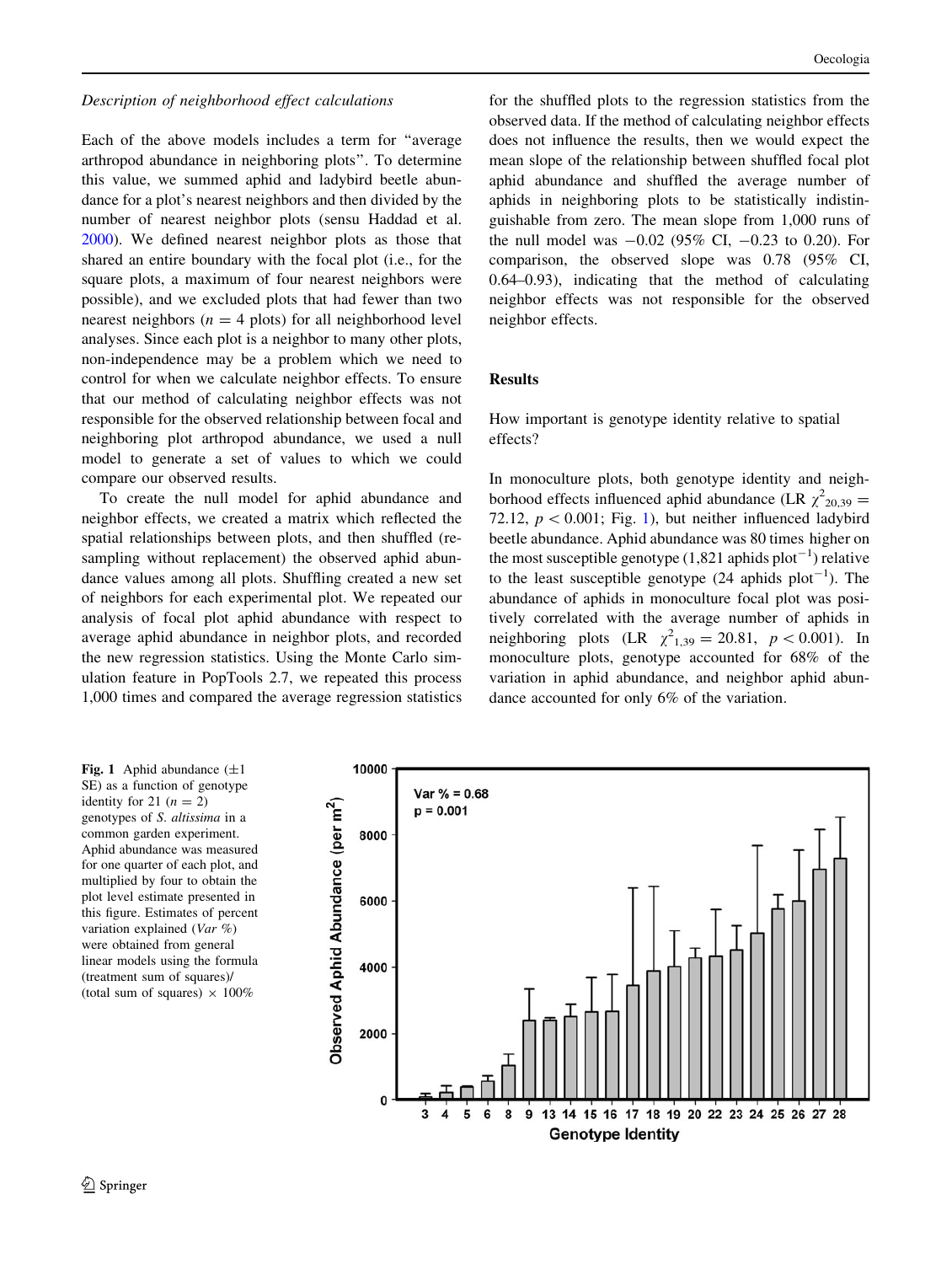<span id="page-4-0"></span>Description of neighborhood effect calculations

Each of the above models includes a term for ''average arthropod abundance in neighboring plots''. To determine this value, we summed aphid and ladybird beetle abundance for a plot's nearest neighbors and then divided by the number of nearest neighbor plots (sensu Haddad et al. [2000\)](#page-7-0). We defined nearest neighbor plots as those that shared an entire boundary with the focal plot (i.e., for the square plots, a maximum of four nearest neighbors were possible), and we excluded plots that had fewer than two nearest neighbors ( $n = 4$  plots) for all neighborhood level analyses. Since each plot is a neighbor to many other plots, non-independence may be a problem which we need to control for when we calculate neighbor effects. To ensure that our method of calculating neighbor effects was not responsible for the observed relationship between focal and neighboring plot arthropod abundance, we used a null model to generate a set of values to which we could compare our observed results.

To create the null model for aphid abundance and neighbor effects, we created a matrix which reflected the spatial relationships between plots, and then shuffled (resampling without replacement) the observed aphid abundance values among all plots. Shuffling created a new set of neighbors for each experimental plot. We repeated our analysis of focal plot aphid abundance with respect to average aphid abundance in neighbor plots, and recorded the new regression statistics. Using the Monte Carlo simulation feature in PopTools 2.7, we repeated this process 1,000 times and compared the average regression statistics for the shuffled plots to the regression statistics from the observed data. If the method of calculating neighbor effects does not influence the results, then we would expect the mean slope of the relationship between shuffled focal plot aphid abundance and shuffled the average number of aphids in neighboring plots to be statistically indistinguishable from zero. The mean slope from 1,000 runs of the null model was  $-0.02$  (95% CI,  $-0.23$  to 0.20). For comparison, the observed slope was 0.78 (95% CI, 0.64–0.93), indicating that the method of calculating neighbor effects was not responsible for the observed neighbor effects.

## Results

How important is genotype identity relative to spatial effects?

In monoculture plots, both genotype identity and neighborhood effects influenced aphid abundance (LR  $\chi^2_{20,39}$  = 72.12,  $p < 0.001$ ; Fig. 1), but neither influenced ladybird beetle abundance. Aphid abundance was 80 times higher on the most susceptible genotype  $(1, 821$  aphids plot<sup>-1</sup>) relative to the least susceptible genotype  $(24 \text{ aphids plot}^{-1})$ . The abundance of aphids in monoculture focal plot was positively correlated with the average number of aphids in neighboring plots  $(LR \t \chi^2_{1,39} = 20.81, p < 0.001)$ . In monoculture plots, genotype accounted for 68% of the variation in aphid abundance, and neighbor aphid abundance accounted for only 6% of the variation.

Fig. 1 Aphid abundance  $(\pm 1)$ SE) as a function of genotype identity for 21  $(n = 2)$ genotypes of S. altissima in a common garden experiment. Aphid abundance was measured for one quarter of each plot, and multiplied by four to obtain the plot level estimate presented in this figure. Estimates of percent variation explained (Var %) were obtained from general linear models using the formula (treatment sum of squares)/ (total sum of squares)  $\times$  100%

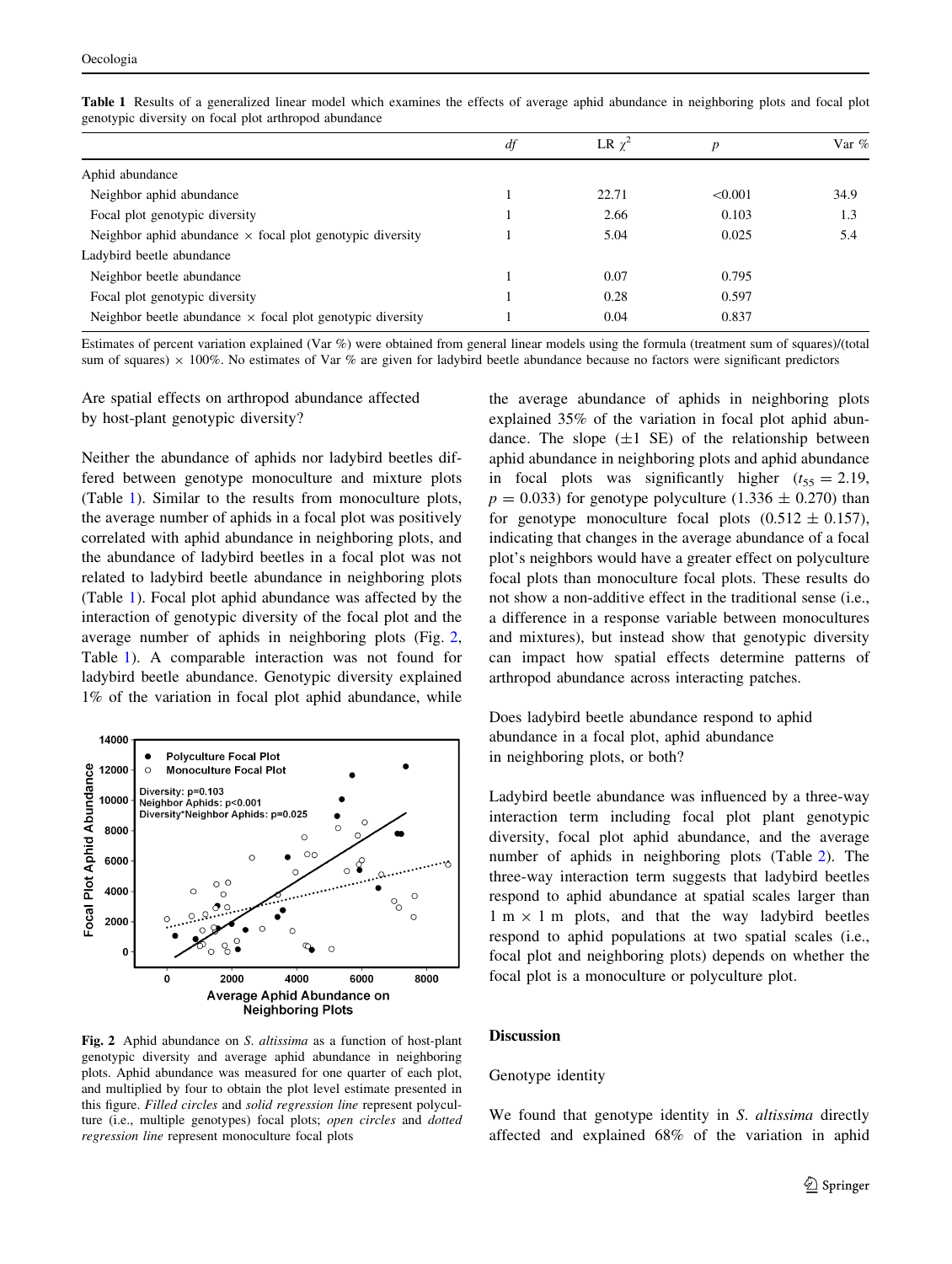|                                                                   | df | LR $\gamma^2$ | $\boldsymbol{p}$ | Var $%$ |
|-------------------------------------------------------------------|----|---------------|------------------|---------|
| Aphid abundance                                                   |    |               |                  |         |
| Neighbor aphid abundance                                          |    | 22.71         | < 0.001          | 34.9    |
| Focal plot genotypic diversity                                    |    | 2.66          | 0.103            | 1.3     |
| Neighbor aphid abundance $\times$ focal plot genotypic diversity  |    | 5.04          | 0.025            | 5.4     |
| Ladybird beetle abundance                                         |    |               |                  |         |
| Neighbor beetle abundance                                         |    | 0.07          | 0.795            |         |
| Focal plot genotypic diversity                                    |    | 0.28          | 0.597            |         |
| Neighbor beetle abundance $\times$ focal plot genotypic diversity |    | 0.04          | 0.837            |         |

<span id="page-5-0"></span>Table 1 Results of a generalized linear model which examines the effects of average aphid abundance in neighboring plots and focal plot genotypic diversity on focal plot arthropod abundance

Estimates of percent variation explained (Var %) were obtained from general linear models using the formula (treatment sum of squares)/(total sum of squares)  $\times$  100%. No estimates of Var % are given for ladybird beetle abundance because no factors were significant predictors

Are spatial effects on arthropod abundance affected by host-plant genotypic diversity?

Neither the abundance of aphids nor ladybird beetles differed between genotype monoculture and mixture plots (Table 1). Similar to the results from monoculture plots, the average number of aphids in a focal plot was positively correlated with aphid abundance in neighboring plots, and the abundance of ladybird beetles in a focal plot was not related to ladybird beetle abundance in neighboring plots (Table 1). Focal plot aphid abundance was affected by the interaction of genotypic diversity of the focal plot and the average number of aphids in neighboring plots (Fig. 2, Table 1). A comparable interaction was not found for ladybird beetle abundance. Genotypic diversity explained 1% of the variation in focal plot aphid abundance, while



Fig. 2 Aphid abundance on S. altissima as a function of host-plant genotypic diversity and average aphid abundance in neighboring plots. Aphid abundance was measured for one quarter of each plot, and multiplied by four to obtain the plot level estimate presented in this figure. Filled circles and solid regression line represent polyculture (i.e., multiple genotypes) focal plots; open circles and dotted regression line represent monoculture focal plots

the average abundance of aphids in neighboring plots explained 35% of the variation in focal plot aphid abundance. The slope  $(\pm 1 \text{ SE})$  of the relationship between aphid abundance in neighboring plots and aphid abundance in focal plots was significantly higher  $(t_{55} = 2.19,$  $p = 0.033$ ) for genotype polyculture (1.336  $\pm$  0.270) than for genotype monoculture focal plots  $(0.512 \pm 0.157)$ , indicating that changes in the average abundance of a focal plot's neighbors would have a greater effect on polyculture focal plots than monoculture focal plots. These results do not show a non-additive effect in the traditional sense (i.e., a difference in a response variable between monocultures and mixtures), but instead show that genotypic diversity can impact how spatial effects determine patterns of arthropod abundance across interacting patches.

Does ladybird beetle abundance respond to aphid abundance in a focal plot, aphid abundance in neighboring plots, or both?

Ladybird beetle abundance was influenced by a three-way interaction term including focal plot plant genotypic diversity, focal plot aphid abundance, and the average number of aphids in neighboring plots (Table [2\)](#page-6-0). The three-way interaction term suggests that ladybird beetles respond to aphid abundance at spatial scales larger than  $1 m \times 1 m$  plots, and that the way ladybird beetles respond to aphid populations at two spatial scales (i.e., focal plot and neighboring plots) depends on whether the focal plot is a monoculture or polyculture plot.

## Discussion

## Genotype identity

We found that genotype identity in S. altissima directly affected and explained 68% of the variation in aphid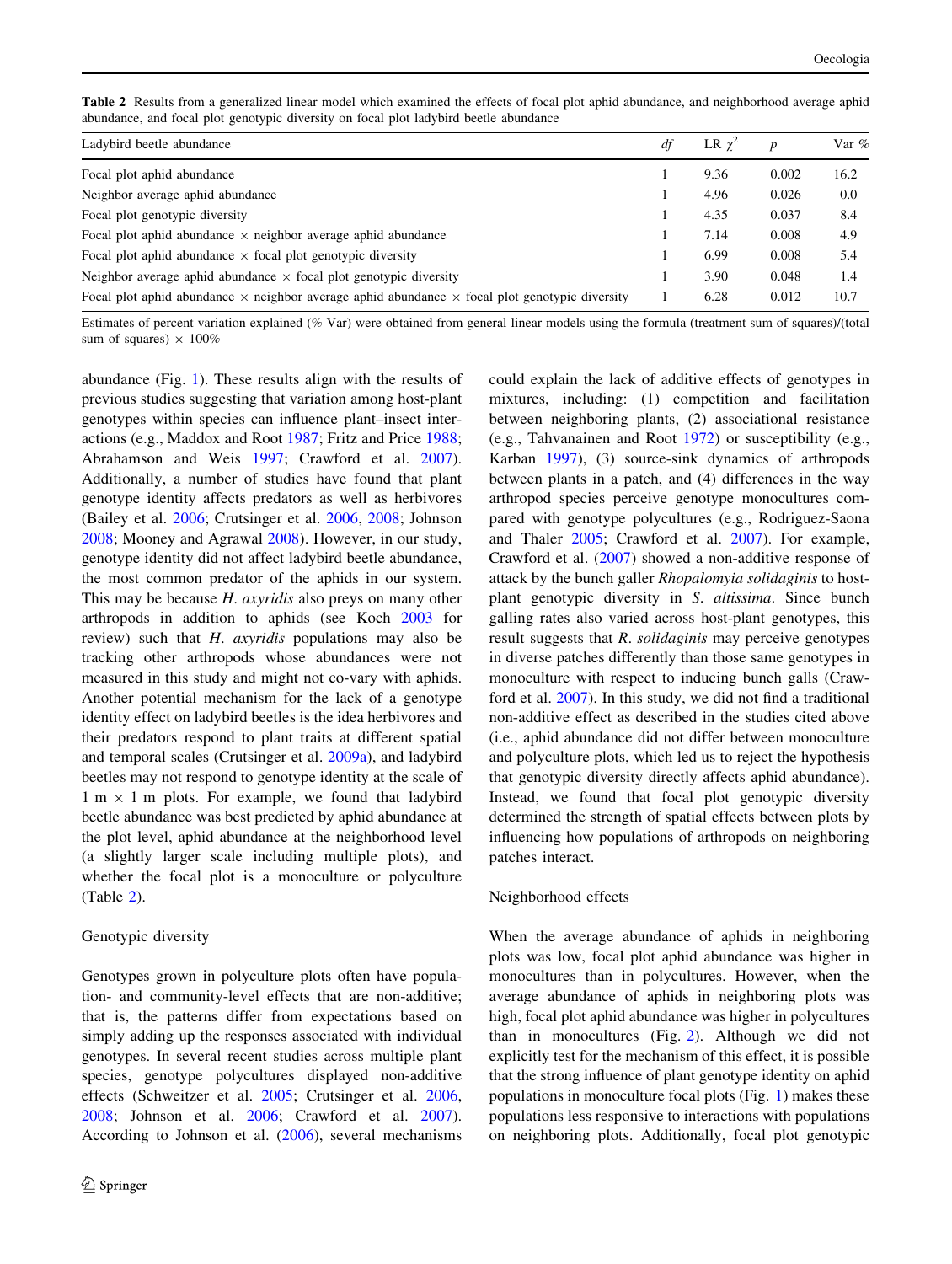| Ladybird beetle abundance                                                                                    |  | LR $\gamma^2$ | $\boldsymbol{p}$ | Var $%$ |
|--------------------------------------------------------------------------------------------------------------|--|---------------|------------------|---------|
| Focal plot aphid abundance                                                                                   |  | 9.36          | 0.002            | 16.2    |
| Neighbor average aphid abundance                                                                             |  | 4.96          | 0.026            | 0.0     |
| Focal plot genotypic diversity                                                                               |  | 4.35          | 0.037            | 8.4     |
| Focal plot aphid abundance $\times$ neighbor average aphid abundance                                         |  | 7.14          | 0.008            | 4.9     |
| Focal plot aphid abundance $\times$ focal plot genotypic diversity                                           |  | 6.99          | 0.008            | 5.4     |
| Neighbor average aphid abundance $\times$ focal plot genotypic diversity                                     |  | 3.90          | 0.048            | 1.4     |
| Focal plot aphid abundance $\times$ neighbor average aphid abundance $\times$ focal plot genotypic diversity |  | 6.28          | 0.012            | 10.7    |

<span id="page-6-0"></span>Table 2 Results from a generalized linear model which examined the effects of focal plot aphid abundance, and neighborhood average aphid abundance, and focal plot genotypic diversity on focal plot ladybird beetle abundance

Estimates of percent variation explained (% Var) were obtained from general linear models using the formula (treatment sum of squares)/(total sum of squares)  $\times 100\%$ 

abundance (Fig. [1\)](#page-4-0). These results align with the results of previous studies suggesting that variation among host-plant genotypes within species can influence plant–insect interactions (e.g., Maddox and Root [1987](#page-7-0); Fritz and Price [1988](#page-7-0); Abrahamson and Weis [1997;](#page-7-0) Crawford et al. [2007](#page-7-0)). Additionally, a number of studies have found that plant genotype identity affects predators as well as herbivores (Bailey et al. [2006](#page-7-0); Crutsinger et al. [2006](#page-7-0), [2008](#page-7-0); Johnson [2008;](#page-7-0) Mooney and Agrawal [2008](#page-8-0)). However, in our study, genotype identity did not affect ladybird beetle abundance, the most common predator of the aphids in our system. This may be because *H. axyridis* also preys on many other arthropods in addition to aphids (see Koch [2003](#page-7-0) for review) such that H. axyridis populations may also be tracking other arthropods whose abundances were not measured in this study and might not co-vary with aphids. Another potential mechanism for the lack of a genotype identity effect on ladybird beetles is the idea herbivores and their predators respond to plant traits at different spatial and temporal scales (Crutsinger et al. [2009a\)](#page-7-0), and ladybird beetles may not respond to genotype identity at the scale of  $1 m \times 1 m$  plots. For example, we found that ladybird beetle abundance was best predicted by aphid abundance at the plot level, aphid abundance at the neighborhood level (a slightly larger scale including multiple plots), and whether the focal plot is a monoculture or polyculture (Table 2).

## Genotypic diversity

Genotypes grown in polyculture plots often have population- and community-level effects that are non-additive; that is, the patterns differ from expectations based on simply adding up the responses associated with individual genotypes. In several recent studies across multiple plant species, genotype polycultures displayed non-additive effects (Schweitzer et al. [2005;](#page-8-0) Crutsinger et al. [2006,](#page-7-0) [2008;](#page-7-0) Johnson et al. [2006](#page-7-0); Crawford et al. [2007](#page-7-0)). According to Johnson et al. [\(2006](#page-7-0)), several mechanisms could explain the lack of additive effects of genotypes in mixtures, including: (1) competition and facilitation between neighboring plants, (2) associational resistance (e.g., Tahvanainen and Root [1972](#page-8-0)) or susceptibility (e.g., Karban [1997](#page-7-0)), (3) source-sink dynamics of arthropods between plants in a patch, and (4) differences in the way arthropod species perceive genotype monocultures compared with genotype polycultures (e.g., Rodriguez-Saona and Thaler [2005;](#page-8-0) Crawford et al. [2007](#page-7-0)). For example, Crawford et al. [\(2007\)](#page-7-0) showed a non-additive response of attack by the bunch galler Rhopalomyia solidaginis to hostplant genotypic diversity in S. altissima. Since bunch galling rates also varied across host-plant genotypes, this result suggests that R. solidaginis may perceive genotypes in diverse patches differently than those same genotypes in monoculture with respect to inducing bunch galls (Crawford et al. [2007](#page-7-0)). In this study, we did not find a traditional non-additive effect as described in the studies cited above (i.e., aphid abundance did not differ between monoculture and polyculture plots, which led us to reject the hypothesis that genotypic diversity directly affects aphid abundance). Instead, we found that focal plot genotypic diversity determined the strength of spatial effects between plots by influencing how populations of arthropods on neighboring patches interact.

## Neighborhood effects

When the average abundance of aphids in neighboring plots was low, focal plot aphid abundance was higher in monocultures than in polycultures. However, when the average abundance of aphids in neighboring plots was high, focal plot aphid abundance was higher in polycultures than in monocultures (Fig. [2\)](#page-5-0). Although we did not explicitly test for the mechanism of this effect, it is possible that the strong influence of plant genotype identity on aphid populations in monoculture focal plots (Fig. [1\)](#page-4-0) makes these populations less responsive to interactions with populations on neighboring plots. Additionally, focal plot genotypic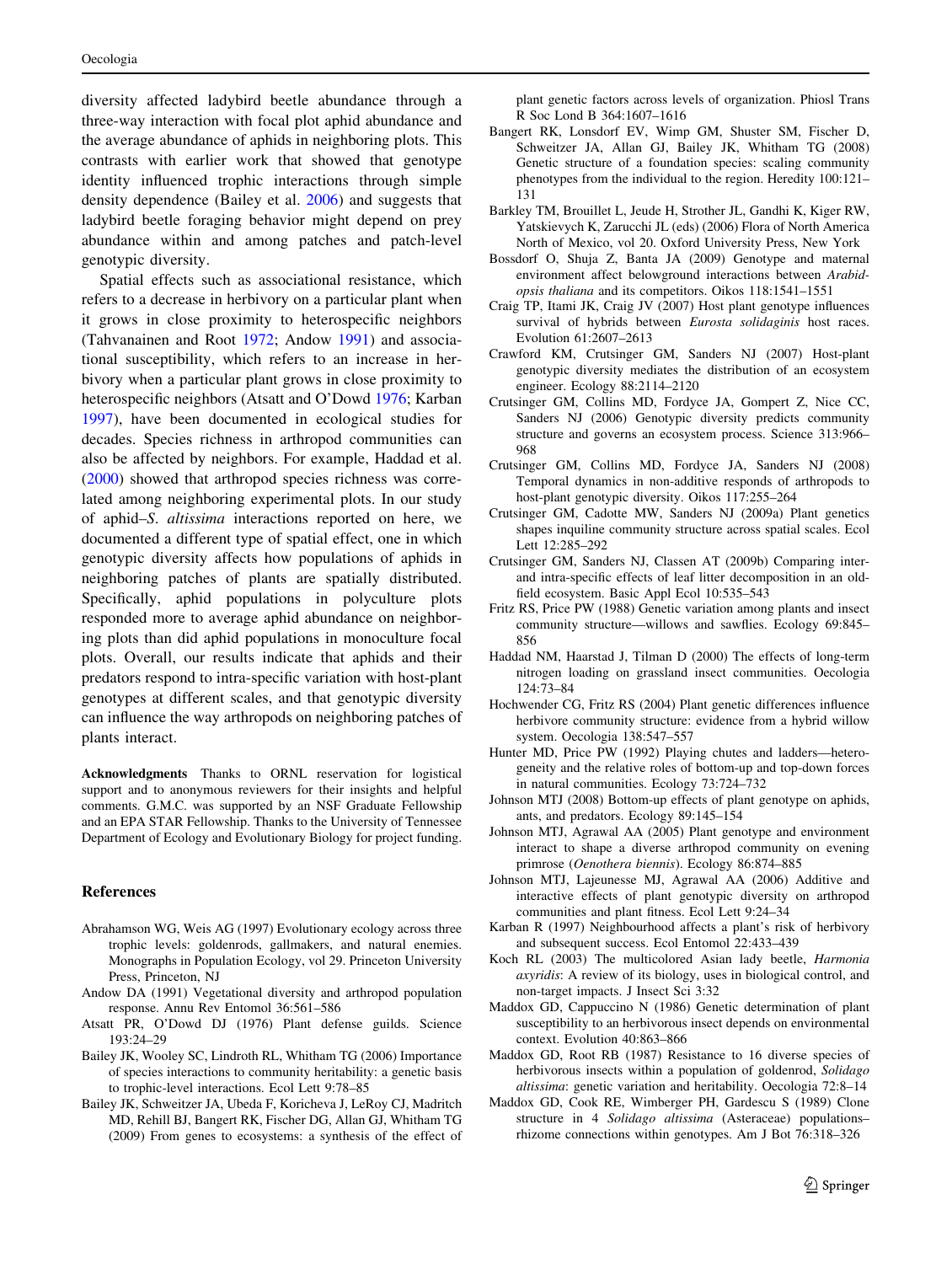<span id="page-7-0"></span>diversity affected ladybird beetle abundance through a three-way interaction with focal plot aphid abundance and the average abundance of aphids in neighboring plots. This contrasts with earlier work that showed that genotype identity influenced trophic interactions through simple density dependence (Bailey et al. 2006) and suggests that ladybird beetle foraging behavior might depend on prey abundance within and among patches and patch-level genotypic diversity.

Spatial effects such as associational resistance, which refers to a decrease in herbivory on a particular plant when it grows in close proximity to heterospecific neighbors (Tahvanainen and Root [1972;](#page-8-0) Andow 1991) and associational susceptibility, which refers to an increase in herbivory when a particular plant grows in close proximity to heterospecific neighbors (Atsatt and O'Dowd 1976; Karban 1997), have been documented in ecological studies for decades. Species richness in arthropod communities can also be affected by neighbors. For example, Haddad et al. (2000) showed that arthropod species richness was correlated among neighboring experimental plots. In our study of aphid–S. altissima interactions reported on here, we documented a different type of spatial effect, one in which genotypic diversity affects how populations of aphids in neighboring patches of plants are spatially distributed. Specifically, aphid populations in polyculture plots responded more to average aphid abundance on neighboring plots than did aphid populations in monoculture focal plots. Overall, our results indicate that aphids and their predators respond to intra-specific variation with host-plant genotypes at different scales, and that genotypic diversity can influence the way arthropods on neighboring patches of plants interact.

Acknowledgments Thanks to ORNL reservation for logistical support and to anonymous reviewers for their insights and helpful comments. G.M.C. was supported by an NSF Graduate Fellowship and an EPA STAR Fellowship. Thanks to the University of Tennessee Department of Ecology and Evolutionary Biology for project funding.

#### References

- Abrahamson WG, Weis AG (1997) Evolutionary ecology across three trophic levels: goldenrods, gallmakers, and natural enemies. Monographs in Population Ecology, vol 29. Princeton University Press, Princeton, NJ
- Andow DA (1991) Vegetational diversity and arthropod population response. Annu Rev Entomol 36:561–586
- Atsatt PR, O'Dowd DJ (1976) Plant defense guilds. Science 193:24–29
- Bailey JK, Wooley SC, Lindroth RL, Whitham TG (2006) Importance of species interactions to community heritability: a genetic basis to trophic-level interactions. Ecol Lett 9:78–85
- Bailey JK, Schweitzer JA, Ubeda F, Koricheva J, LeRoy CJ, Madritch MD, Rehill BJ, Bangert RK, Fischer DG, Allan GJ, Whitham TG (2009) From genes to ecosystems: a synthesis of the effect of

plant genetic factors across levels of organization. Phiosl Trans R Soc Lond B 364:1607–1616

- Bangert RK, Lonsdorf EV, Wimp GM, Shuster SM, Fischer D, Schweitzer JA, Allan GJ, Bailey JK, Whitham TG (2008) Genetic structure of a foundation species: scaling community phenotypes from the individual to the region. Heredity 100:121– 131
- Barkley TM, Brouillet L, Jeude H, Strother JL, Gandhi K, Kiger RW, Yatskievych K, Zarucchi JL (eds) (2006) Flora of North America North of Mexico, vol 20. Oxford University Press, New York
- Bossdorf O, Shuja Z, Banta JA (2009) Genotype and maternal environment affect belowground interactions between Arabidopsis thaliana and its competitors. Oikos 118:1541–1551
- Craig TP, Itami JK, Craig JV (2007) Host plant genotype influences survival of hybrids between Eurosta solidaginis host races. Evolution 61:2607–2613
- Crawford KM, Crutsinger GM, Sanders NJ (2007) Host-plant genotypic diversity mediates the distribution of an ecosystem engineer. Ecology 88:2114–2120
- Crutsinger GM, Collins MD, Fordyce JA, Gompert Z, Nice CC, Sanders NJ (2006) Genotypic diversity predicts community structure and governs an ecosystem process. Science 313:966– 968
- Crutsinger GM, Collins MD, Fordyce JA, Sanders NJ (2008) Temporal dynamics in non-additive responds of arthropods to host-plant genotypic diversity. Oikos 117:255–264
- Crutsinger GM, Cadotte MW, Sanders NJ (2009a) Plant genetics shapes inquiline community structure across spatial scales. Ecol Lett 12:285–292
- Crutsinger GM, Sanders NJ, Classen AT (2009b) Comparing interand intra-specific effects of leaf litter decomposition in an oldfield ecosystem. Basic Appl Ecol 10:535–543
- Fritz RS, Price PW (1988) Genetic variation among plants and insect community structure—willows and sawflies. Ecology 69:845– 856
- Haddad NM, Haarstad J, Tilman D (2000) The effects of long-term nitrogen loading on grassland insect communities. Oecologia 124:73–84
- Hochwender CG, Fritz RS (2004) Plant genetic differences influence herbivore community structure: evidence from a hybrid willow system. Oecologia 138:547–557
- Hunter MD, Price PW (1992) Playing chutes and ladders—heterogeneity and the relative roles of bottom-up and top-down forces in natural communities. Ecology 73:724–732
- Johnson MTJ (2008) Bottom-up effects of plant genotype on aphids, ants, and predators. Ecology 89:145–154
- Johnson MTJ, Agrawal AA (2005) Plant genotype and environment interact to shape a diverse arthropod community on evening primrose (Oenothera biennis). Ecology 86:874–885
- Johnson MTJ, Lajeunesse MJ, Agrawal AA (2006) Additive and interactive effects of plant genotypic diversity on arthropod communities and plant fitness. Ecol Lett 9:24–34
- Karban R (1997) Neighbourhood affects a plant's risk of herbivory and subsequent success. Ecol Entomol 22:433–439
- Koch RL (2003) The multicolored Asian lady beetle, Harmonia axyridis: A review of its biology, uses in biological control, and non-target impacts. J Insect Sci 3:32
- Maddox GD, Cappuccino N (1986) Genetic determination of plant susceptibility to an herbivorous insect depends on environmental context. Evolution 40:863–866
- Maddox GD, Root RB (1987) Resistance to 16 diverse species of herbivorous insects within a population of goldenrod, Solidago altissima: genetic variation and heritability. Oecologia 72:8–14
- Maddox GD, Cook RE, Wimberger PH, Gardescu S (1989) Clone structure in 4 Solidago altissima (Asteraceae) populationsrhizome connections within genotypes. Am J Bot 76:318–326